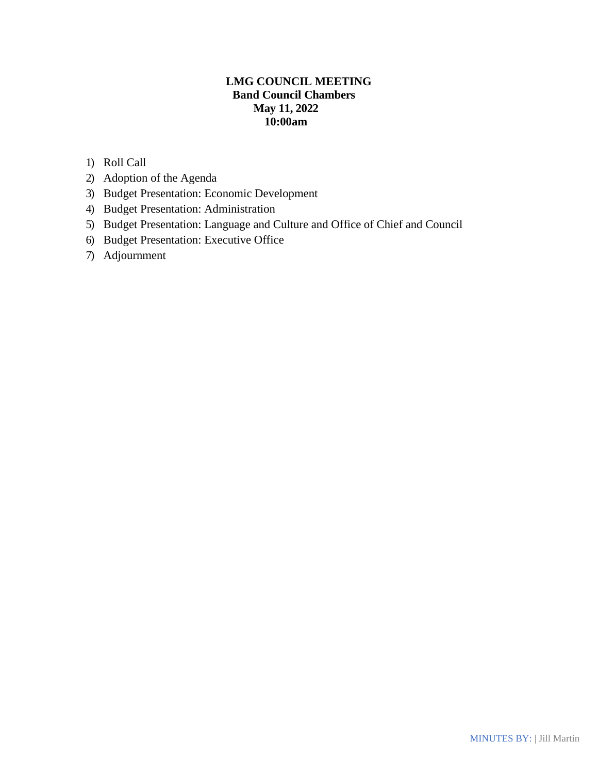# **LMG COUNCIL MEETING Band Council Chambers May 11, 2022 10:00am**

- 1) Roll Call
- 2) Adoption of the Agenda
- 3) Budget Presentation: Economic Development
- 4) Budget Presentation: Administration
- 5) Budget Presentation: Language and Culture and Office of Chief and Council
- 6) Budget Presentation: Executive Office
- 7) Adjournment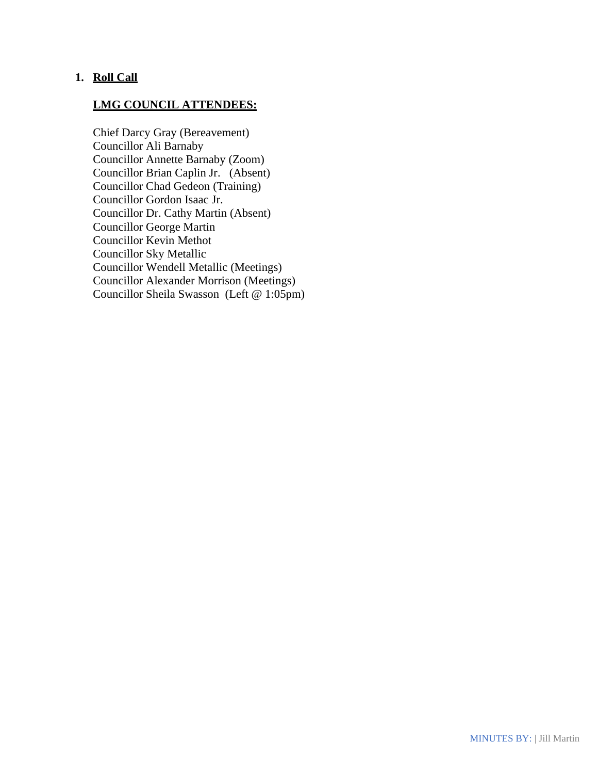# **1. Roll Call**

# **LMG COUNCIL ATTENDEES:**

Chief Darcy Gray (Bereavement) Councillor Ali Barnaby Councillor Annette Barnaby (Zoom) Councillor Brian Caplin Jr. (Absent) Councillor Chad Gedeon (Training) Councillor Gordon Isaac Jr. Councillor Dr. Cathy Martin (Absent) Councillor George Martin Councillor Kevin Methot Councillor Sky Metallic Councillor Wendell Metallic (Meetings) Councillor Alexander Morrison (Meetings) Councillor Sheila Swasson (Left @ 1:05pm)